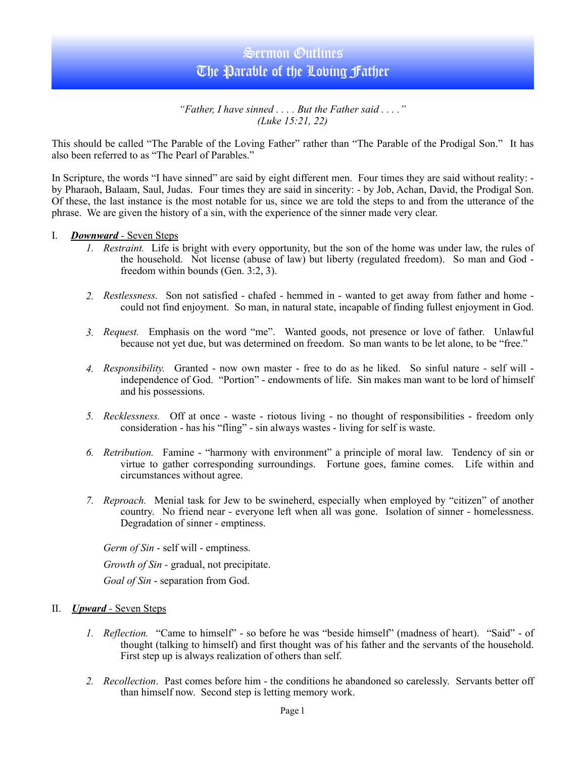# Sermon Outlines The Parable of the Loving Father

*"Father, I have sinned . . . . But the Father said . . . ." (Luke 15:21, 22)* 

This should be called "The Parable of the Loving Father" rather than "The Parable of the Prodigal Son." It has also been referred to as "The Pearl of Parables."

In Scripture, the words "I have sinned" are said by eight different men. Four times they are said without reality: by Pharaoh, Balaam, Saul, Judas. Four times they are said in sincerity: - by Job, Achan, David, the Prodigal Son. Of these, the last instance is the most notable for us, since we are told the steps to and from the utterance of the phrase. We are given the history of a sin, with the experience of the sinner made very clear.

#### I. *Downward -* Seven Steps

- *1. Restraint.* Life is bright with every opportunity, but the son of the home was under law, the rules of the household. Not license (abuse of law) but liberty (regulated freedom). So man and God freedom within bounds (Gen. 3:2, 3).
- *2. Restlessness.* Son not satisfied chafed hemmed in wanted to get away from father and home could not find enjoyment. So man, in natural state, incapable of finding fullest enjoyment in God.
- *3. Request.* Emphasis on the word "me". Wanted goods, not presence or love of father. Unlawful because not yet due, but was determined on freedom. So man wants to be let alone, to be "free."
- *4. Responsibility.* Granted now own master free to do as he liked. So sinful nature self will independence of God. "Portion" - endowments of life. Sin makes man want to be lord of himself and his possessions.
- *5. Recklessness.* Off at once waste riotous living no thought of responsibilities freedom only consideration - has his "fling" - sin always wastes - living for self is waste.
- *6. Retribution.* Famine "harmony with environment" a principle of moral law. Tendency of sin or virtue to gather corresponding surroundings. Fortune goes, famine comes. Life within and circumstances without agree.
- *7. Reproach.* Menial task for Jew to be swineherd, especially when employed by "citizen" of another country. No friend near - everyone left when all was gone. Isolation of sinner - homelessness. Degradation of sinner - emptiness.

*Germ of Sin* - self will - emptiness.

*Growth of Sin -* gradual, not precipitate.

*Goal of Sin* - separation from God.

### II. *Upward -* Seven Steps

- *1. Reflection.* "Came to himself" so before he was "beside himself" (madness of heart). "Said" of thought (talking to himself) and first thought was of his father and the servants of the household. First step up is always realization of others than self.
- *2. Recollection*. Past comes before him the conditions he abandoned so carelessly. Servants better off than himself now. Second step is letting memory work.